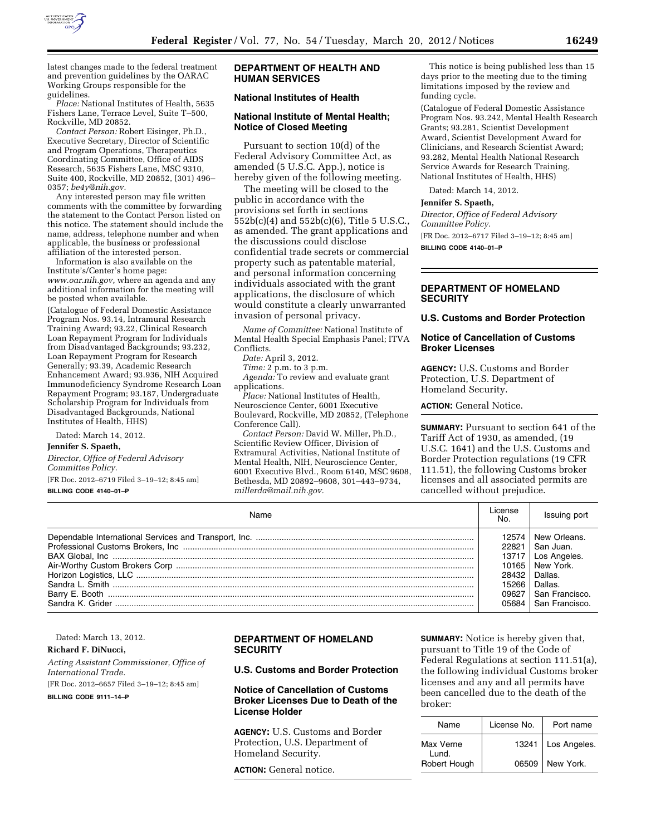

latest changes made to the federal treatment and prevention guidelines by the OARAC Working Groups responsible for the guidelines.

*Place:* National Institutes of Health, 5635 Fishers Lane, Terrace Level, Suite T–500, Rockville, MD 20852.

*Contact Person:* Robert Eisinger, Ph.D., Executive Secretary, Director of Scientific and Program Operations, Therapeutics Coordinating Committee, Office of AIDS Research, 5635 Fishers Lane, MSC 9310, Suite 400, Rockville, MD 20852, (301) 496– 0357; *[be4y@nih.gov.](mailto:be4y@nih.gov)* 

Any interested person may file written comments with the committee by forwarding the statement to the Contact Person listed on this notice. The statement should include the name, address, telephone number and when applicable, the business or professional affiliation of the interested person.

Information is also available on the Institute's/Center's home page: *www.oar.nih.gov,* where an agenda and any additional information for the meeting will be posted when available.

(Catalogue of Federal Domestic Assistance Program Nos. 93.14, Intramural Research Training Award; 93.22, Clinical Research Loan Repayment Program for Individuals from Disadvantaged Backgrounds; 93.232, Loan Repayment Program for Research Generally; 93.39, Academic Research Enhancement Award; 93.936, NIH Acquired Immunodeficiency Syndrome Research Loan Repayment Program; 93.187, Undergraduate Scholarship Program for Individuals from Disadvantaged Backgrounds, National Institutes of Health, HHS)

Dated: March 14, 2012.

**Jennifer S. Spaeth,** 

*Director, Office of Federal Advisory Committee Policy.* 

[FR Doc. 2012–6719 Filed 3–19–12; 8:45 am] **BILLING CODE 4140–01–P** 

## **DEPARTMENT OF HEALTH AND HUMAN SERVICES**

## **National Institutes of Health**

### **National Institute of Mental Health; Notice of Closed Meeting**

Pursuant to section 10(d) of the Federal Advisory Committee Act, as amended (5 U.S.C. App.), notice is hereby given of the following meeting.

The meeting will be closed to the public in accordance with the provisions set forth in sections 552b(c)(4) and 552b(c)(6), Title 5 U.S.C., as amended. The grant applications and the discussions could disclose confidential trade secrets or commercial property such as patentable material, and personal information concerning individuals associated with the grant applications, the disclosure of which would constitute a clearly unwarranted invasion of personal privacy.

*Name of Committee:* National Institute of Mental Health Special Emphasis Panel; ITVA Conflicts.

*Date:* April 3, 2012.

*Time:* 2 p.m. to 3 p.m.

*Agenda:* To review and evaluate grant applications.

*Place:* National Institutes of Health, Neuroscience Center, 6001 Executive Boulevard, Rockville, MD 20852, (Telephone Conference Call).

*Contact Person:* David W. Miller, Ph.D., Scientific Review Officer, Division of Extramural Activities, National Institute of Mental Health, NIH, Neuroscience Center, 6001 Executive Blvd., Room 6140, MSC 9608, Bethesda, MD 20892–9608, 301–443–9734, *millerda@mail.nih.gov.* 

This notice is being published less than 15 days prior to the meeting due to the timing limitations imposed by the review and funding cycle.

(Catalogue of Federal Domestic Assistance Program Nos. 93.242, Mental Health Research Grants; 93.281, Scientist Development Award, Scientist Development Award for Clinicians, and Research Scientist Award; 93.282, Mental Health National Research Service Awards for Research Training, National Institutes of Health, HHS)

Dated: March 14, 2012.

#### **Jennifer S. Spaeth,**

*Director, Office of Federal Advisory Committee Policy.*  [FR Doc. 2012–6717 Filed 3–19–12; 8:45 am] **BILLING CODE 4140–01–P** 

# **DEPARTMENT OF HOMELAND SECURITY**

**U.S. Customs and Border Protection** 

## **Notice of Cancellation of Customs Broker Licenses**

**AGENCY:** U.S. Customs and Border Protection, U.S. Department of Homeland Security.

**ACTION:** General Notice.

**SUMMARY:** Pursuant to section 641 of the Tariff Act of 1930, as amended, (19 U.S.C. 1641) and the U.S. Customs and Border Protection regulations (19 CFR 111.51), the following Customs broker licenses and all associated permits are cancelled without prejudice.

| License<br>N٥ | Issuing port   |
|---------------|----------------|
| 12574         | New Orleans.   |
| 22821         | San Juan.      |
| 13717         | Los Angeles.   |
| 10165         | New York.      |
| 28432         | Dallas.        |
| 15266         | Dallas.        |
| 09627         | San Francisco. |
| 05684         | San Francisco. |

Dated: March 13, 2012.

### **Richard F. DiNucci,**

*Acting Assistant Commissioner, Office of International Trade.* 

[FR Doc. 2012–6657 Filed 3–19–12; 8:45 am] **BILLING CODE 9111–14–P** 

## **DEPARTMENT OF HOMELAND SECURITY**

#### **U.S. Customs and Border Protection**

# **Notice of Cancellation of Customs Broker Licenses Due to Death of the License Holder**

**AGENCY:** U.S. Customs and Border Protection, U.S. Department of Homeland Security.

**ACTION:** General notice.

**SUMMARY:** Notice is hereby given that, pursuant to Title 19 of the Code of Federal Regulations at section 111.51(a), the following individual Customs broker licenses and any and all permits have been cancelled due to the death of the broker:

| Name               | License No. | Port name          |
|--------------------|-------------|--------------------|
| Max Verne<br>Lund. |             | 13241 Los Angeles. |
| Robert Hough       |             | 06509   New York.  |